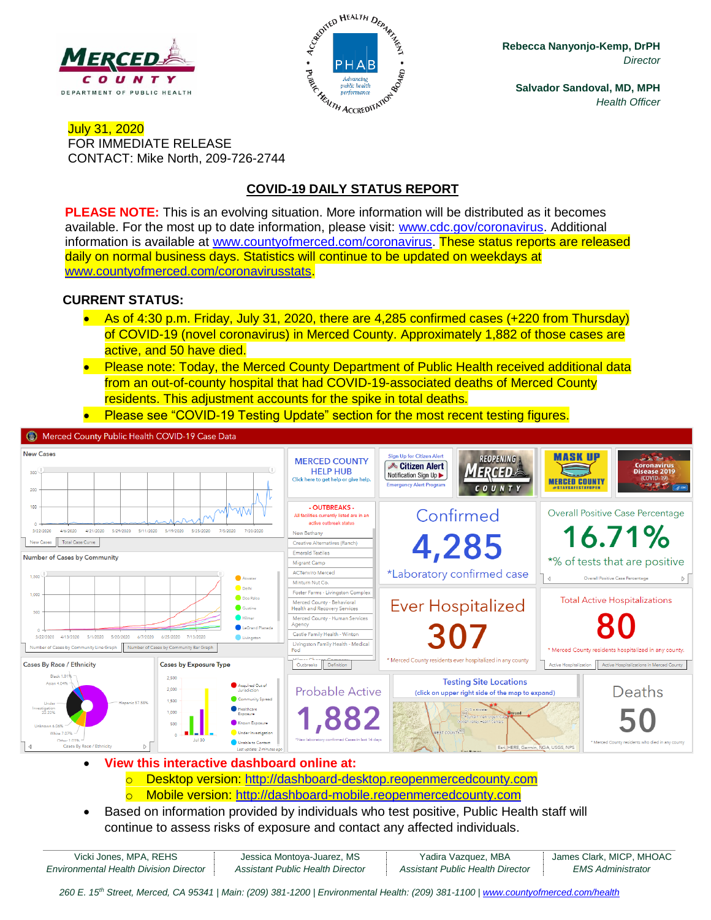



**Rebecca Nanyonjo-Kemp, DrPH** *Director*

**Salvador Sandoval, MD, MPH** *Health Officer*

### July 31, 2020 FOR IMMEDIATE RELEASE CONTACT: Mike North, 209-726-2744

# **COVID-19 DAILY STATUS REPORT**

**PLEASE NOTE:** This is an evolving situation. More information will be distributed as it becomes available. For the most up to date information, please visit: [www.cdc.gov/coronavirus.](http://www.cdc.gov/coronavirus) Additional information is available at [www.countyofmerced.com/coronavirus.](http://www.countyofmerced.com/coronavirus) These status reports are released daily on normal business days. Statistics will continue to be updated on weekdays at [www.countyofmerced.com/coronavirusstats.](http://www.countyofmerced.com/coronavirusstats)

### **CURRENT STATUS:**

- As of 4:30 p.m. Friday, July 31, 2020, there are 4,285 confirmed cases (+220 from Thursday) of COVID-19 (novel coronavirus) in Merced County. Approximately 1,882 of those cases are active, and 50 have died.
- Please note: Today, the Merced County Department of Public Health received additional data from an out-of-county hospital that had COVID-19-associated deaths of Merced County residents. This adjustment accounts for the spike in total deaths.
- Please see "COVID-19 Testing Update" section for the most recent testing figures.



- **View this interactive dashboard online at:**
	- o Desktop version: [http://dashboard-desktop.reopenmercedcounty.com](http://dashboard-desktop.reopenmercedcounty.com/)
	- o Mobile version: [http://dashboard-mobile.reopenmercedcounty.com](http://dashboard-mobile.reopenmercedcounty.com/)
- Based on information provided by individuals who test positive, Public Health staff will continue to assess risks of exposure and contact any affected individuals.

| Vicki Jones, MPA, REHS                        | Jessica Montoya-Juarez, MS       | Yadira Vazquez, MBA              | James Clark, MICP, MHOAC |
|-----------------------------------------------|----------------------------------|----------------------------------|--------------------------|
| <b>Environmental Health Division Director</b> | Assistant Public Health Director | Assistant Public Health Director | EMS Administrator        |

*260 E. 15th Street, Merced, CA 95341 | Main: (209) 381-1200 | Environmental Health: (209) 381-1100* | *[www.countyofmerced.com/health](http://www.countyofmerced.com/health)*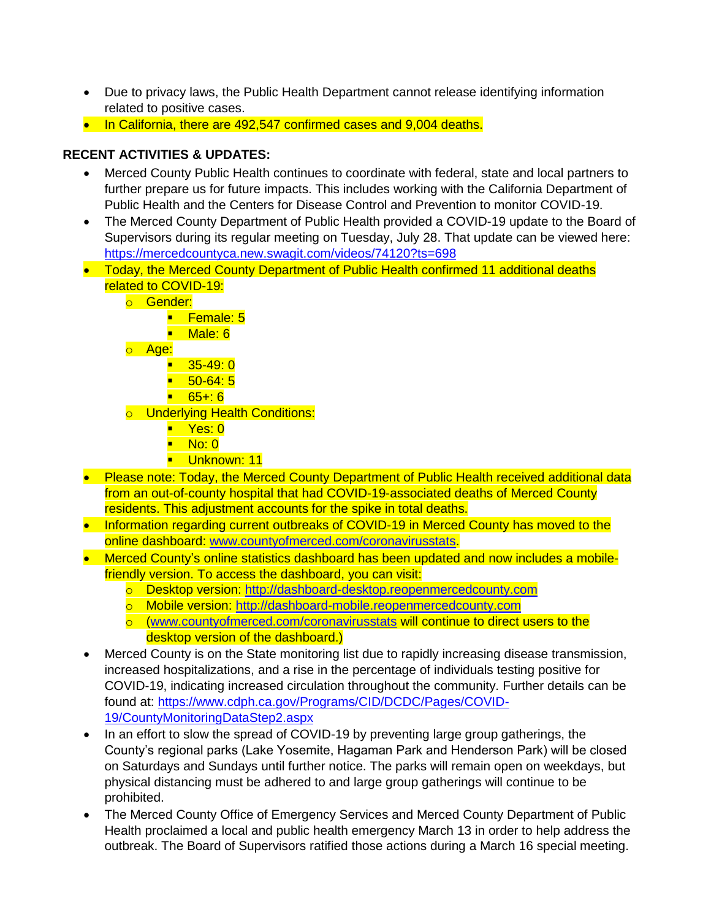- Due to privacy laws, the Public Health Department cannot release identifying information related to positive cases.
- In California, there are 492,547 confirmed cases and 9,004 deaths.

## **RECENT ACTIVITIES & UPDATES:**

- Merced County Public Health continues to coordinate with federal, state and local partners to further prepare us for future impacts. This includes working with the California Department of Public Health and the Centers for Disease Control and Prevention to monitor COVID-19.
- The Merced County Department of Public Health provided a COVID-19 update to the Board of Supervisors during its regular meeting on Tuesday, July 28. That update can be viewed here: <https://mercedcountyca.new.swagit.com/videos/74120?ts=698>
- Today, the Merced County Department of Public Health confirmed 11 additional deaths related to COVID-19:
	- o Gender:
		- Female: 5
			- Male: 6
	- o Age:
		- 35-49: 0
		- $-50-64:5$
		- 65+: 6
	- o Underlying Health Conditions:
		- Yes: 0
		- $\blacksquare$  No: 0
		- **· Unknown: 11**
- Please note: Today, the Merced County Department of Public Health received additional data from an out-of-county hospital that had COVID-19-associated deaths of Merced County residents. This adjustment accounts for the spike in total deaths.
- Information regarding current outbreaks of COVID-19 in Merced County has moved to the online dashboard: [www.countyofmerced.com/coronavirusstats.](http://www.countyofmerced.com/coronavirusstats)
- Merced County's online statistics dashboard has been updated and now includes a mobilefriendly version. To access the dashboard, you can visit:
	- o Desktop version: [http://dashboard-desktop.reopenmercedcounty.com](http://dashboard-desktop.reopenmercedcounty.com/)
	- o Mobile version: [http://dashboard-mobile.reopenmercedcounty.com](http://dashboard-mobile.reopenmercedcounty.com/)
	- o [\(www.countyofmerced.com/coronavirusstats](http://www.countyofmerced.com/coronavirusstats) will continue to direct users to the desktop version of the dashboard.)
- Merced County is on the State monitoring list due to rapidly increasing disease transmission, increased hospitalizations, and a rise in the percentage of individuals testing positive for COVID-19, indicating increased circulation throughout the community. Further details can be found at: [https://www.cdph.ca.gov/Programs/CID/DCDC/Pages/COVID-](https://www.cdph.ca.gov/Programs/CID/DCDC/Pages/COVID-19/CountyMonitoringDataStep2.aspx)[19/CountyMonitoringDataStep2.aspx](https://www.cdph.ca.gov/Programs/CID/DCDC/Pages/COVID-19/CountyMonitoringDataStep2.aspx)
- In an effort to slow the spread of COVID-19 by preventing large group gatherings, the County's regional parks (Lake Yosemite, Hagaman Park and Henderson Park) will be closed on Saturdays and Sundays until further notice. The parks will remain open on weekdays, but physical distancing must be adhered to and large group gatherings will continue to be prohibited.
- The Merced County Office of Emergency Services and Merced County Department of Public Health proclaimed a local and public health emergency March 13 in order to help address the outbreak. The Board of Supervisors ratified those actions during a March 16 special meeting.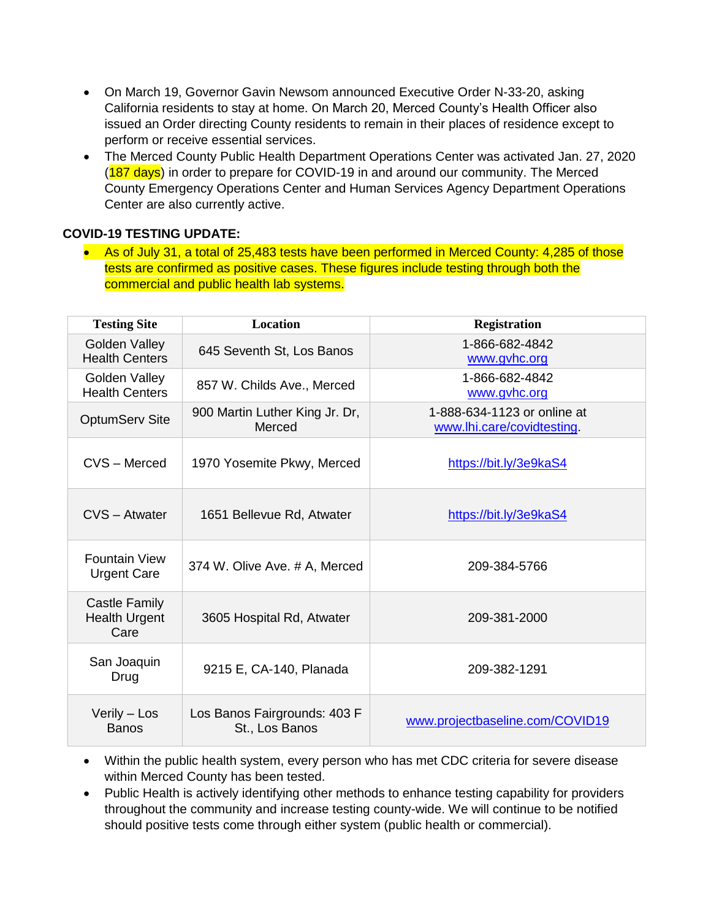- On March 19, Governor Gavin Newsom announced Executive Order N-33-20, asking California residents to stay at home. On March 20, Merced County's Health Officer also issued an Order directing County residents to remain in their places of residence except to perform or receive essential services.
- The Merced County Public Health Department Operations Center was activated Jan. 27, 2020 (187 days) in order to prepare for COVID-19 in and around our community. The Merced County Emergency Operations Center and Human Services Agency Department Operations Center are also currently active.

### **COVID-19 TESTING UPDATE:**

• As of July 31, a total of 25,483 tests have been performed in Merced County: 4,285 of those tests are confirmed as positive cases. These figures include testing through both the commercial and public health lab systems.

| <b>Testing Site</b>                           | <b>Location</b>                                | <b>Registration</b>                                       |
|-----------------------------------------------|------------------------------------------------|-----------------------------------------------------------|
| Golden Valley<br><b>Health Centers</b>        | 645 Seventh St, Los Banos                      | 1-866-682-4842<br>www.gvhc.org                            |
| Golden Valley<br><b>Health Centers</b>        | 857 W. Childs Ave., Merced                     | 1-866-682-4842<br>www.gvhc.org                            |
| <b>OptumServ Site</b>                         | 900 Martin Luther King Jr. Dr,<br>Merced       | 1-888-634-1123 or online at<br>www.lhi.care/covidtesting. |
| CVS - Merced                                  | 1970 Yosemite Pkwy, Merced                     | https://bit.ly/3e9kaS4                                    |
| CVS - Atwater                                 | 1651 Bellevue Rd, Atwater                      | https://bit.ly/3e9kaS4                                    |
| <b>Fountain View</b><br><b>Urgent Care</b>    | 374 W. Olive Ave. # A, Merced                  | 209-384-5766                                              |
| Castle Family<br><b>Health Urgent</b><br>Care | 3605 Hospital Rd, Atwater                      | 209-381-2000                                              |
| San Joaquin<br>Drug                           | 9215 E, CA-140, Planada                        | 209-382-1291                                              |
| Verily - Los<br><b>Banos</b>                  | Los Banos Fairgrounds: 403 F<br>St., Los Banos | www.projectbaseline.com/COVID19                           |

- Within the public health system, every person who has met CDC criteria for severe disease within Merced County has been tested.
- Public Health is actively identifying other methods to enhance testing capability for providers throughout the community and increase testing county-wide. We will continue to be notified should positive tests come through either system (public health or commercial).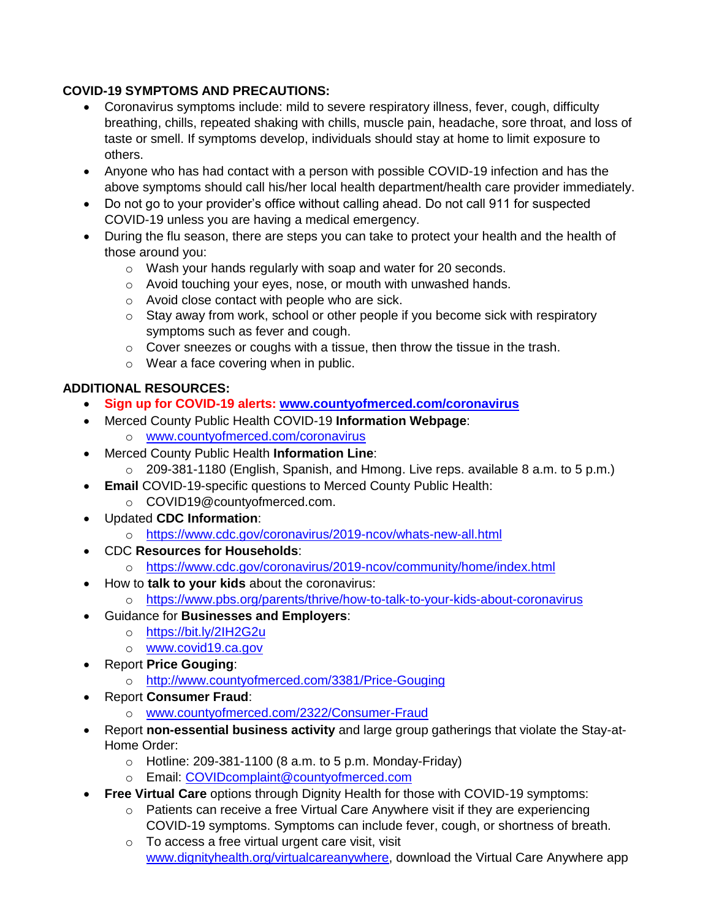## **COVID-19 SYMPTOMS AND PRECAUTIONS:**

- Coronavirus symptoms include: mild to severe respiratory illness, fever, cough, difficulty breathing, chills, repeated shaking with chills, muscle pain, headache, sore throat, and loss of taste or smell. If symptoms develop, individuals should stay at home to limit exposure to others.
- Anyone who has had contact with a person with possible COVID-19 infection and has the above symptoms should call his/her local health department/health care provider immediately.
- Do not go to your provider's office without calling ahead. Do not call 911 for suspected COVID-19 unless you are having a medical emergency.
- During the flu season, there are steps you can take to protect your health and the health of those around you:
	- o Wash your hands regularly with soap and water for 20 seconds.
	- o Avoid touching your eyes, nose, or mouth with unwashed hands.
	- o Avoid close contact with people who are sick.
	- $\circ$  Stay away from work, school or other people if you become sick with respiratory symptoms such as fever and cough.
	- $\circ$  Cover sneezes or coughs with a tissue, then throw the tissue in the trash.
	- o Wear a face covering when in public.

# **ADDITIONAL RESOURCES:**

- **Sign up for COVID-19 alerts: [www.countyofmerced.com/coronavirus](http://www.countyofmerced.com/coronavirus)**
- Merced County Public Health COVID-19 **Information Webpage**:
	- o [www.countyofmerced.com/coronavirus](http://www.countyofmerced.com/coronavirus)
- Merced County Public Health **Information Line**:
	- $\circ$  209-381-1180 (English, Spanish, and Hmong. Live reps. available 8 a.m. to 5 p.m.)
- **Email** COVID-19-specific questions to Merced County Public Health:
	- o COVID19@countyofmerced.com.
- Updated **CDC Information**:
	- o <https://www.cdc.gov/coronavirus/2019-ncov/whats-new-all.html>
- CDC **Resources for Households**:
	- o <https://www.cdc.gov/coronavirus/2019-ncov/community/home/index.html>
- How to **talk to your kids** about the coronavirus:
	- o <https://www.pbs.org/parents/thrive/how-to-talk-to-your-kids-about-coronavirus>
- Guidance for **Businesses and Employers**:
	- o <https://bit.ly/2IH2G2u>
	- o [www.covid19.ca.gov](http://www.covid19.ca.gov/)
- Report **Price Gouging**:
	- o <http://www.countyofmerced.com/3381/Price-Gouging>
- Report **Consumer Fraud**:
	- o [www.countyofmerced.com/2322/Consumer-Fraud](http://www.countyofmerced.com/2322/Consumer-Fraud)
- Report **non-essential business activity** and large group gatherings that violate the Stay-at-Home Order:
	- $\circ$  Hotline: 209-381-1100 (8 a.m. to 5 p.m. Monday-Friday)
	- o Email: [COVIDcomplaint@countyofmerced.com](mailto:COVIDcomplaint@countyofmerced.com)
- **Free Virtual Care** options through Dignity Health for those with COVID-19 symptoms:
	- $\circ$  Patients can receive a free Virtual Care Anywhere visit if they are experiencing COVID-19 symptoms. Symptoms can include fever, cough, or shortness of breath.
	- o To access a free virtual urgent care visit, visit [www.dignityhealth.org/virtualcareanywhere,](http://www.dignityhealth.org/virtualcareanywhere) download the Virtual Care Anywhere app